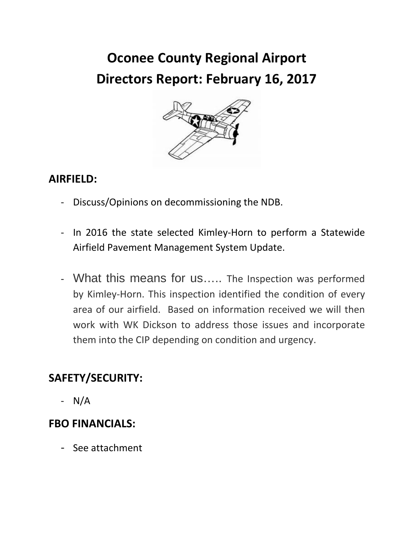# **Oconee County Regional Airport Directors Report: February 16, 2017**



#### **AIRFIELD:**

- Discuss/Opinions on decommissioning the NDB.
- In 2016 the state selected Kimley-Horn to perform a Statewide Airfield Pavement Management System Update.
- What this means for us….. The Inspection was performed by Kimley-Horn. This inspection identified the condition of every area of our airfield. Based on information received we will then work with WK Dickson to address those issues and incorporate them into the CIP depending on condition and urgency.

## **SAFETY/SECURITY:**

- N/A

#### **FBO FINANCIALS:**

- See attachment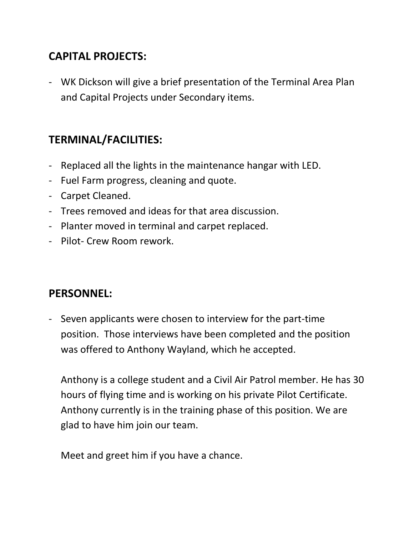## **CAPITAL PROJECTS:**

- WK Dickson will give a brief presentation of the Terminal Area Plan and Capital Projects under Secondary items.

# **TERMINAL/FACILITIES:**

- Replaced all the lights in the maintenance hangar with LED.
- Fuel Farm progress, cleaning and quote.
- Carpet Cleaned.
- Trees removed and ideas for that area discussion.
- Planter moved in terminal and carpet replaced.
- Pilot- Crew Room rework.

## **PERSONNEL:**

- Seven applicants were chosen to interview for the part-time position. Those interviews have been completed and the position was offered to Anthony Wayland, which he accepted.

Anthony is a college student and a Civil Air Patrol member. He has 30 hours of flying time and is working on his private Pilot Certificate. Anthony currently is in the training phase of this position. We are glad to have him join our team.

Meet and greet him if you have a chance.